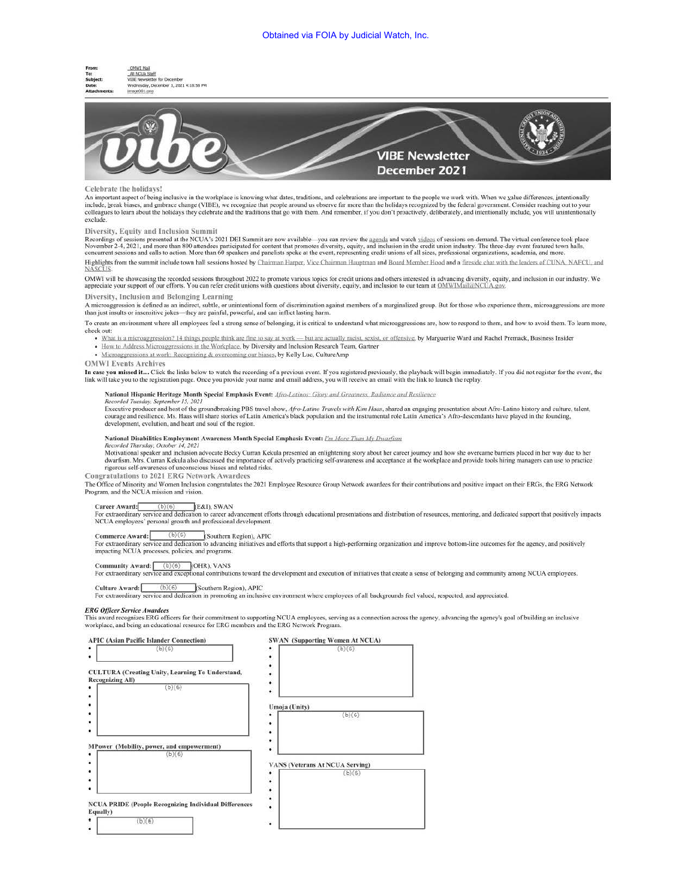



## Celebrate the holidays!

An important aspect of being inclusive in the workplace is knowing what dates, traditions, and celebrations are important to the people we work with. When we yalue differences, intentionally include, break biases, and gmbrace change (VIBE), we recognize that people around us observe far more than the holidays recognized by the federal government. Consider reaching out to your<br>colleagues to learn about the holi exclude.

## Diversity, Equity and Inclusion Summit

Exercisity, Equity and Interactional Summit of the methanic and panelists spoke at the certificate diversity, equity, and inclusion in the credit union industry. The three-day event featured town halls,<br>November 2-4, 2021,

Highlights from the summit include town hall sessions hosted by Chairman Harper, Vice Chairman Hauptman and Board Member Hood and a fireside chat with the leaders of CUNA, NAFCU, and NASCUS.

OMWI will be showcasing the recorded sessions throughout 2022 to promote various topics for credit unions and others interested in advancing diversity, equity, and inclusion in our industry. We appreciate your support of o

# Diversity, Inclusion and Belonging Learning

A microaggression is defined as an indirect, subtle. or unintentional fonn of discrimination against members of a marginalized group. But for those who experience them. microaggrcssions arc more than just insults or insensitive jokes--- they are painful, powerful, and can inflict lasting harm.

1'o create an environment where all employees feel a strong sense of belonging. it is critical to understand what microaggressions are. how to respond to them. and how to avoid them. To learn more. check out:

- What is a microaggression? 14 things people think are fine to say at work but are actually racist, sexist, or offensive, by Marguerite Ward and Rachel Premack, Business Insider
- How to Address Microaggressions in the Workplace, by Diversity and Inclusion Research Team, Gartner

• Microaggressions at work: Recognizing & overcoming our biases, by Kelly Luc, CultureAmp

### OMWI Events Archives

In case you missed it... Click the links below to watch the recording of a previous event. If you registered previously, the playback will begin immediately. If you did not register for the event, the<br>link will take you to

### National Hispanic Heritage Month Special Emphasis Event: *Afro-Latinos: Glory and Greatness, Radiance and Resilience*

Recorded Tuesday, September 15, 2021<br>Executive producer and host of the groundbreaking PBS travel show, Afro-Latino Travels with Kim Haas, shared an engaging presentation about Afro-Latino history and culture, talent,<br>cour development. evolution. and heart and soul of the region.

### National Disabilities Employment Awareness Month Special Emphasis Event: *I'm More Than My Dwarfism*

Recorded Thursday, October 14, 2021<br>Motivational speaker and inclusion advocate Becky Curran Kekula presented an enlightening story about her career journey and how she overcame barriers placed in her way due to her<br>dwarfi rigorous self-awareness of unconscious biases and related risks.

### Congratulations to 2021 ERG Network Awardees

The Office of Minority and Women Inclusion congratulates the 2021 Employee Resource Group Network awardees for their contributions and positive impact on their ERGs, the ERG Network Program, and the NCUA mission and vision.

Career Award: (b)(6) [E&I), SWAN<br>For extraordinary service and dedication to career advancement efforts through educational presentations and distribution of resources, mentoring, and dedicated support that positively impa NCUA employees' personal growth and professional development.

**Commerce Award:**  $(b)(6)$  (Southern Region), APIC<br>For extraordinary service and dedication to advancing initiatives and efforts that support a high-performing organization and improve bottom-line outcomes for the agency, a impacting NCUA processes. policies. and programs.

Community Award: (b)(6) [(OHR), VANS<br>For extraordinary service and exceptional contributions toward the development and execution of initiatives that create a sense of belonging and community among NCUA employees.

Culture Award:! (b)(6) lSouthem Region). APlC for cxlraordinary service and dedication in promoting an inclusive environment where employees of all backgrounds feel valued, respected. and appreciated.

### *ERG Officer Service Awardees*

This award recognizes ERG officers for their commitment to supporting NCUA employees, serving as a connection across the agency, advancing the agency's goal of building an inclusive workplace, and being an educational resource for ERG members and the ERG Network Program.

| <b>SWAN</b> (Supporting Women At NCUA) |
|----------------------------------------|
| (b)(6)<br>٠                            |
| ٠<br>٠                                 |
|                                        |
| Umoja (Unity)                          |
| (b)(6)                                 |
|                                        |
|                                        |
|                                        |
|                                        |
| <b>VANS (Veterans At NCUA Serving)</b> |
| (b)(6)                                 |
|                                        |
|                                        |
|                                        |
|                                        |
|                                        |
|                                        |
|                                        |